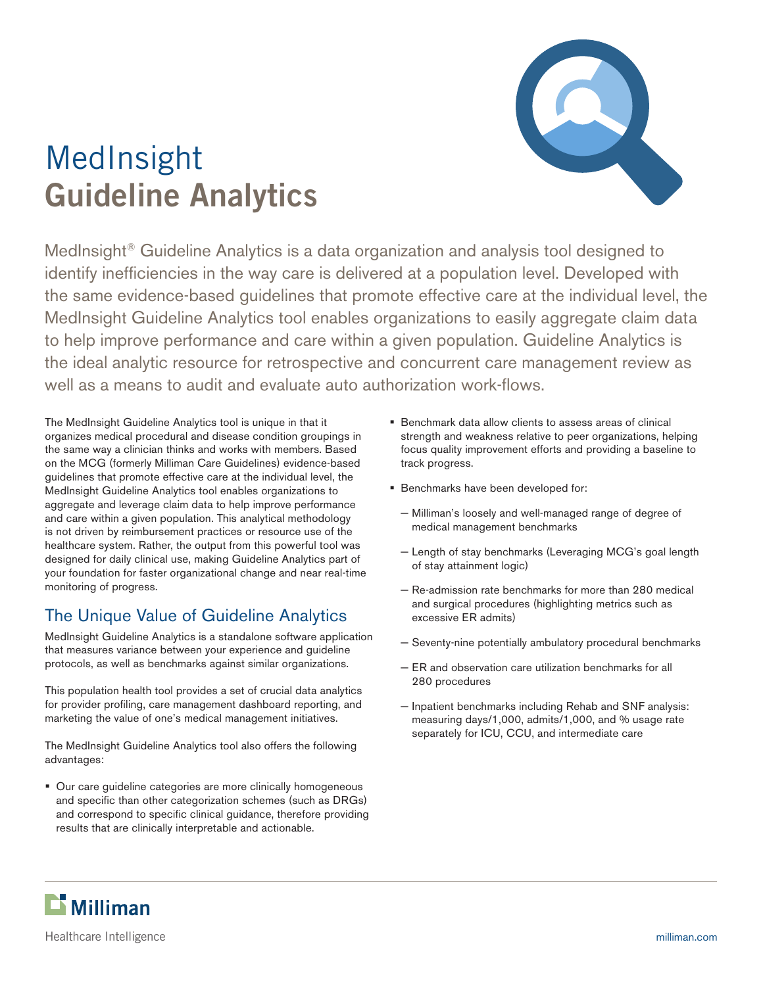

# MedInsight **Guideline Analytics**

MedInsight® Guideline Analytics is a data organization and analysis tool designed to identify inefficiencies in the way care is delivered at a population level. Developed with the same evidence-based guidelines that promote effective care at the individual level, the MedInsight Guideline Analytics tool enables organizations to easily aggregate claim data to help improve performance and care within a given population. Guideline Analytics is the ideal analytic resource for retrospective and concurrent care management review as well as a means to audit and evaluate auto authorization work-flows.

The MedInsight Guideline Analytics tool is unique in that it organizes medical procedural and disease condition groupings in the same way a clinician thinks and works with members. Based on the MCG (formerly Milliman Care Guidelines) evidence-based guidelines that promote effective care at the individual level, the MedInsight Guideline Analytics tool enables organizations to aggregate and leverage claim data to help improve performance and care within a given population. This analytical methodology is not driven by reimbursement practices or resource use of the healthcare system. Rather, the output from this powerful tool was designed for daily clinical use, making Guideline Analytics part of your foundation for faster organizational change and near real-time monitoring of progress.

# The Unique Value of Guideline Analytics

MedInsight Guideline Analytics is a standalone software application that measures variance between your experience and guideline protocols, as well as benchmarks against similar organizations.

This population health tool provides a set of crucial data analytics for provider profiling, care management dashboard reporting, and marketing the value of one's medical management initiatives.

The MedInsight Guideline Analytics tool also offers the following advantages:

**Dur care guideline categories are more clinically homogeneous** and specific than other categorization schemes (such as DRGs) and correspond to specific clinical guidance, therefore providing results that are clinically interpretable and actionable.

- Benchmark data allow clients to assess areas of clinical strength and weakness relative to peer organizations, helping focus quality improvement efforts and providing a baseline to track progress.
- Benchmarks have been developed for:
	- − Milliman's loosely and well-managed range of degree of medical management benchmarks
	- − Length of stay benchmarks (Leveraging MCG's goal length of stay attainment logic)
	- − Re-admission rate benchmarks for more than 280 medical and surgical procedures (highlighting metrics such as excessive ER admits)
	- − Seventy-nine potentially ambulatory procedural benchmarks
	- − ER and observation care utilization benchmarks for all 280 procedures
	- − Inpatient benchmarks including Rehab and SNF analysis: measuring days/1,000, admits/1,000, and % usage rate separately for ICU, CCU, and intermediate care